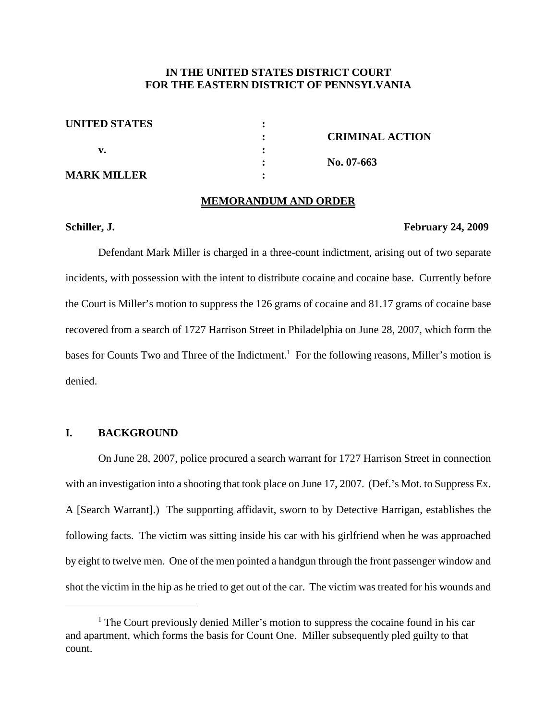# **IN THE UNITED STATES DISTRICT COURT FOR THE EASTERN DISTRICT OF PENNSYLVANIA**

| <b>UNITED STATES</b> |                        |
|----------------------|------------------------|
|                      | <b>CRIMINAL ACTION</b> |
|                      |                        |
|                      | No. $07-663$           |
| <b>MARK MILLER</b>   |                        |

#### **MEMORANDUM AND ORDER**

#### **Schiller, J. February 24, 2009**

Defendant Mark Miller is charged in a three-count indictment, arising out of two separate incidents, with possession with the intent to distribute cocaine and cocaine base. Currently before the Court is Miller's motion to suppress the 126 grams of cocaine and 81.17 grams of cocaine base recovered from a search of 1727 Harrison Street in Philadelphia on June 28, 2007, which form the bases for Counts Two and Three of the Indictment.<sup>1</sup> For the following reasons, Miller's motion is denied.

### **I. BACKGROUND**

On June 28, 2007, police procured a search warrant for 1727 Harrison Street in connection with an investigation into a shooting that took place on June 17, 2007. (Def.'s Mot. to Suppress Ex. A [Search Warrant].) The supporting affidavit, sworn to by Detective Harrigan, establishes the following facts. The victim was sitting inside his car with his girlfriend when he was approached by eight to twelve men. One of the men pointed a handgun through the front passenger window and shot the victim in the hip as he tried to get out of the car. The victim was treated for his wounds and

 $<sup>1</sup>$  The Court previously denied Miller's motion to suppress the cocaine found in his car</sup> and apartment, which forms the basis for Count One. Miller subsequently pled guilty to that count.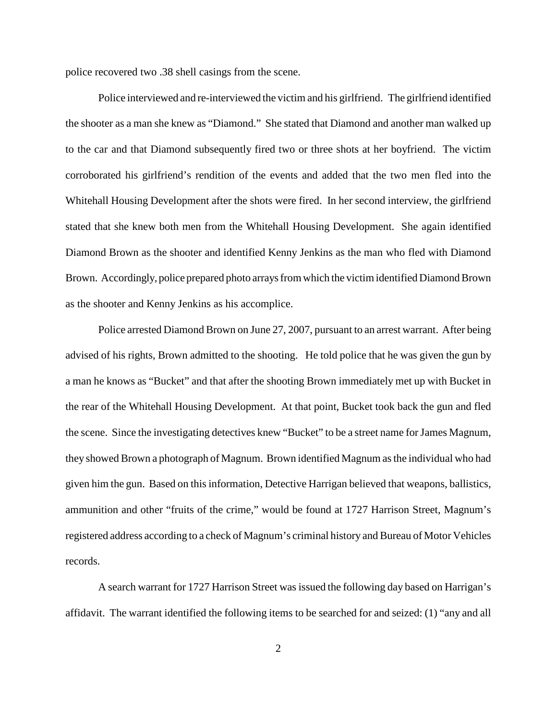police recovered two .38 shell casings from the scene.

Police interviewed and re-interviewed the victim and his girlfriend. The girlfriend identified the shooter as a man she knew as "Diamond." She stated that Diamond and another man walked up to the car and that Diamond subsequently fired two or three shots at her boyfriend. The victim corroborated his girlfriend's rendition of the events and added that the two men fled into the Whitehall Housing Development after the shots were fired. In her second interview, the girlfriend stated that she knew both men from the Whitehall Housing Development. She again identified Diamond Brown as the shooter and identified Kenny Jenkins as the man who fled with Diamond Brown. Accordingly, police prepared photo arrays from which the victim identified Diamond Brown as the shooter and Kenny Jenkins as his accomplice.

Police arrested Diamond Brown on June 27, 2007, pursuant to an arrest warrant. After being advised of his rights, Brown admitted to the shooting. He told police that he was given the gun by a man he knows as "Bucket" and that after the shooting Brown immediately met up with Bucket in the rear of the Whitehall Housing Development. At that point, Bucket took back the gun and fled the scene. Since the investigating detectives knew "Bucket" to be a street name forJames Magnum, they showed Brown a photograph of Magnum. Brown identified Magnum asthe individual who had given him the gun. Based on thisinformation, Detective Harrigan believed that weapons, ballistics, ammunition and other "fruits of the crime," would be found at 1727 Harrison Street, Magnum's registered address according to a check of Magnum's criminal history and Bureau of Motor Vehicles records.

A search warrant for 1727 Harrison Street was issued the following day based on Harrigan's affidavit. The warrant identified the following items to be searched for and seized: (1) "any and all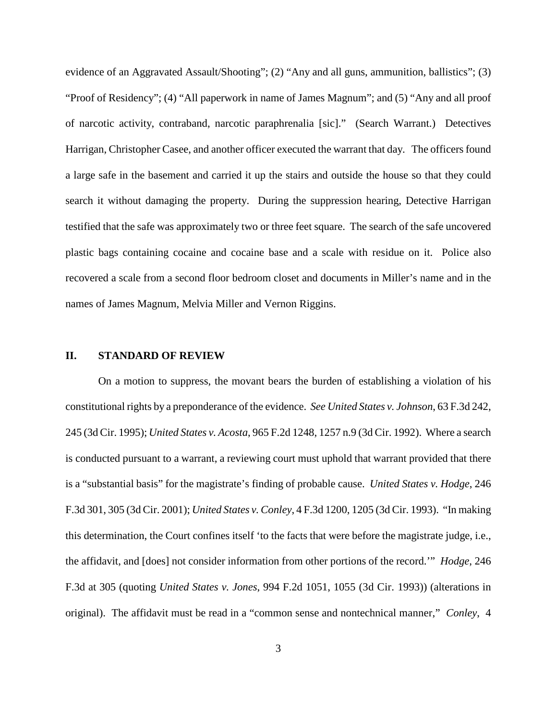evidence of an Aggravated Assault/Shooting"; (2) "Any and all guns, ammunition, ballistics"; (3) "Proof of Residency"; (4) "All paperwork in name of James Magnum"; and (5) "Any and all proof of narcotic activity, contraband, narcotic paraphrenalia [sic]." (Search Warrant.) Detectives Harrigan, Christopher Casee, and another officer executed the warrant that day. The officers found a large safe in the basement and carried it up the stairs and outside the house so that they could search it without damaging the property. During the suppression hearing, Detective Harrigan testified that the safe was approximately two or three feet square. The search of the safe uncovered plastic bags containing cocaine and cocaine base and a scale with residue on it. Police also recovered a scale from a second floor bedroom closet and documents in Miller's name and in the names of James Magnum, Melvia Miller and Vernon Riggins.

#### **II. STANDARD OF REVIEW**

On a motion to suppress, the movant bears the burden of establishing a violation of his constitutional rights by a preponderance of the evidence. *See United States v. Johnson*, 63 F.3d 242, 245 (3d Cir. 1995); *United States v. Acosta*, 965 F.2d 1248, 1257 n.9 (3d Cir. 1992). Where a search is conducted pursuant to a warrant, a reviewing court must uphold that warrant provided that there is a "substantial basis" for the magistrate's finding of probable cause. *United States v. Hodge*, 246 F.3d 301, 305 (3d Cir. 2001); *United States v. Conley*, 4 F.3d 1200, 1205 (3d Cir. 1993). "In making this determination, the Court confines itself 'to the facts that were before the magistrate judge, i.e., the affidavit, and [does] not consider information from other portions of the record.'" *Hodge*, 246 F.3d at 305 (quoting *United States v. Jones*, 994 F.2d 1051, 1055 (3d Cir. 1993)) (alterations in original). The affidavit must be read in a "common sense and nontechnical manner," *Conley*, 4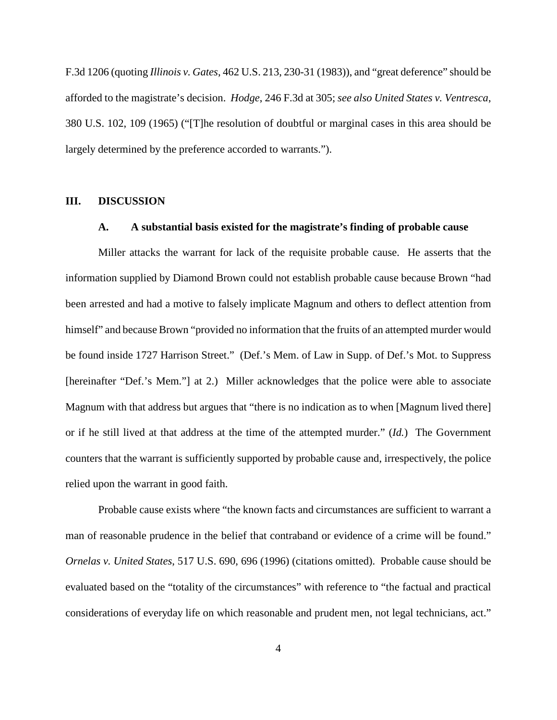F.3d 1206 (quoting *Illinois v. Gates*, 462 U.S. 213, 230-31 (1983)), and "great deference" should be afforded to the magistrate's decision. *Hodge*, 246 F.3d at 305; *see also United States v. Ventresca*, 380 U.S. 102, 109 (1965) ("[T]he resolution of doubtful or marginal cases in this area should be largely determined by the preference accorded to warrants.").

### **III. DISCUSSION**

### **A. A substantial basis existed for the magistrate's finding of probable cause**

Miller attacks the warrant for lack of the requisite probable cause. He asserts that the information supplied by Diamond Brown could not establish probable cause because Brown "had been arrested and had a motive to falsely implicate Magnum and others to deflect attention from himself" and because Brown "provided no information that the fruits of an attempted murder would be found inside 1727 Harrison Street." (Def.'s Mem. of Law in Supp. of Def.'s Mot. to Suppress [hereinafter "Def.'s Mem."] at 2.) Miller acknowledges that the police were able to associate Magnum with that address but argues that "there is no indication as to when [Magnum lived there] or if he still lived at that address at the time of the attempted murder." (*Id.*) The Government counters that the warrant is sufficiently supported by probable cause and, irrespectively, the police relied upon the warrant in good faith.

Probable cause exists where "the known facts and circumstances are sufficient to warrant a man of reasonable prudence in the belief that contraband or evidence of a crime will be found." *Ornelas v. United States*, 517 U.S. 690, 696 (1996) (citations omitted). Probable cause should be evaluated based on the "totality of the circumstances" with reference to "the factual and practical considerations of everyday life on which reasonable and prudent men, not legal technicians, act."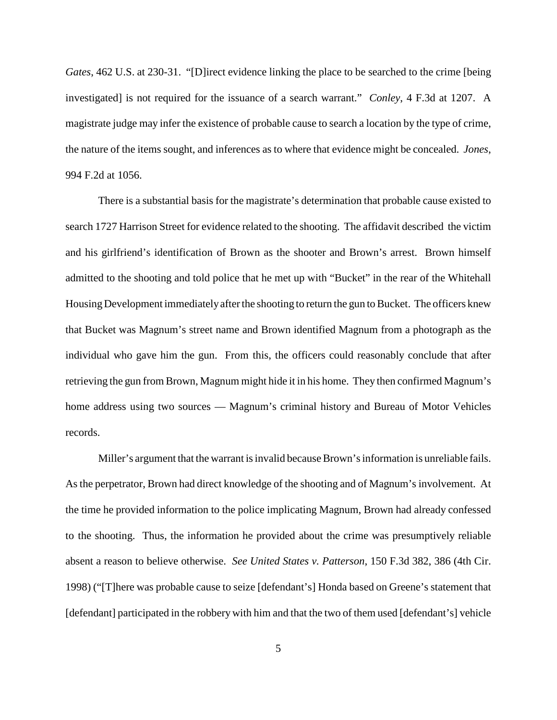*Gates*, 462 U.S. at 230-31. "[D]irect evidence linking the place to be searched to the crime [being investigated] is not required for the issuance of a search warrant." *Conley*, 4 F.3d at 1207. A magistrate judge may infer the existence of probable cause to search a location by the type of crime, the nature of the items sought, and inferences as to where that evidence might be concealed. *Jones*, 994 F.2d at 1056.

There is a substantial basis for the magistrate's determination that probable cause existed to search 1727 Harrison Street for evidence related to the shooting. The affidavit described the victim and his girlfriend's identification of Brown as the shooter and Brown's arrest. Brown himself admitted to the shooting and told police that he met up with "Bucket" in the rear of the Whitehall Housing Development immediately after the shooting to return the gun to Bucket. The officers knew that Bucket was Magnum's street name and Brown identified Magnum from a photograph as the individual who gave him the gun. From this, the officers could reasonably conclude that after retrieving the gun from Brown, Magnum might hide it in his home. They then confirmed Magnum's home address using two sources — Magnum's criminal history and Bureau of Motor Vehicles records.

Miller's argument that the warrant is invalid because Brown's information is unreliable fails. Asthe perpetrator, Brown had direct knowledge of the shooting and of Magnum's involvement. At the time he provided information to the police implicating Magnum, Brown had already confessed to the shooting. Thus, the information he provided about the crime was presumptively reliable absent a reason to believe otherwise. *See United States v. Patterson*, 150 F.3d 382, 386 (4th Cir. 1998) ("[T]here was probable cause to seize [defendant's] Honda based on Greene's statement that [defendant] participated in the robbery with him and that the two of them used [defendant's] vehicle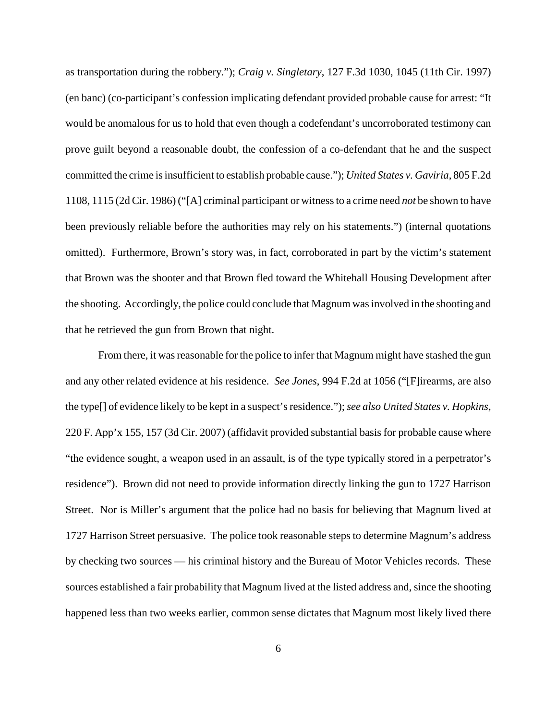as transportation during the robbery."); *Craig v. Singletary*, 127 F.3d 1030, 1045 (11th Cir. 1997) (en banc) (co-participant's confession implicating defendant provided probable cause for arrest: "It would be anomalous for us to hold that even though a codefendant's uncorroborated testimony can prove guilt beyond a reasonable doubt, the confession of a co-defendant that he and the suspect committed the crime isinsufficient to establish probable cause."); *United States v. Gaviria*, 805 F.2d 1108, 1115 (2d Cir. 1986) ("[A] criminal participant or witnessto a crime need *not* be shown to have been previously reliable before the authorities may rely on his statements.") (internal quotations omitted). Furthermore, Brown's story was, in fact, corroborated in part by the victim's statement that Brown was the shooter and that Brown fled toward the Whitehall Housing Development after the shooting. Accordingly, the police could conclude that Magnum wasinvolved in the shooting and that he retrieved the gun from Brown that night.

From there, it was reasonable for the police to infer that Magnum might have stashed the gun and any other related evidence at his residence. *See Jones*, 994 F.2d at 1056 ("[F]irearms, are also the type[] of evidence likely to be kept in a suspect'sresidence.");*see also United States v. Hopkins*, 220 F. App'x 155, 157 (3d Cir. 2007) (affidavit provided substantial basis for probable cause where "the evidence sought, a weapon used in an assault, is of the type typically stored in a perpetrator's residence"). Brown did not need to provide information directly linking the gun to 1727 Harrison Street. Nor is Miller's argument that the police had no basis for believing that Magnum lived at 1727 Harrison Street persuasive. The police took reasonable steps to determine Magnum's address by checking two sources — his criminal history and the Bureau of Motor Vehicles records. These sources established a fair probability that Magnum lived at the listed address and, since the shooting happened less than two weeks earlier, common sense dictates that Magnum most likely lived there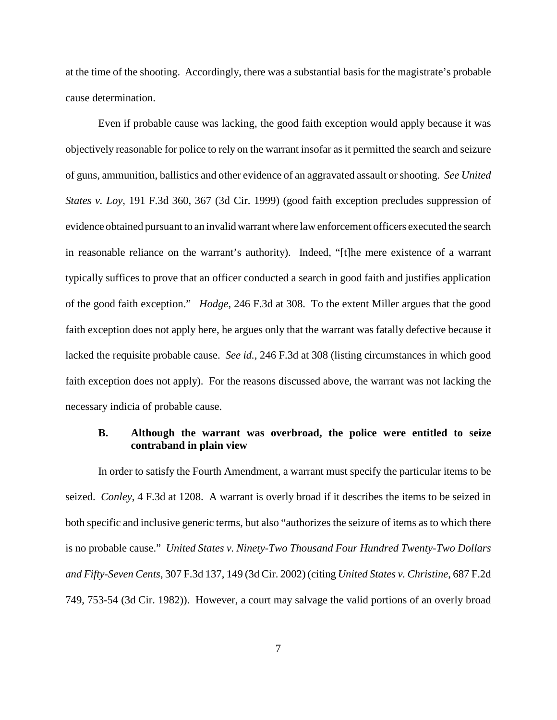at the time of the shooting. Accordingly, there was a substantial basis for the magistrate's probable cause determination.

Even if probable cause was lacking, the good faith exception would apply because it was objectively reasonable for police to rely on the warrant insofar as it permitted the search and seizure of guns, ammunition, ballistics and other evidence of an aggravated assault orshooting. *See United States v. Loy*, 191 F.3d 360, 367 (3d Cir. 1999) (good faith exception precludes suppression of evidence obtained pursuant to an invalidwarrantwhere law enforcement officers executed the search in reasonable reliance on the warrant's authority). Indeed, "[t]he mere existence of a warrant typically suffices to prove that an officer conducted a search in good faith and justifies application of the good faith exception." *Hodge*, 246 F.3d at 308. To the extent Miller argues that the good faith exception does not apply here, he argues only that the warrant was fatally defective because it lacked the requisite probable cause. *See id.*, 246 F.3d at 308 (listing circumstances in which good faith exception does not apply). For the reasons discussed above, the warrant was not lacking the necessary indicia of probable cause.

# **B. Although the warrant was overbroad, the police were entitled to seize contraband in plain view**

In order to satisfy the Fourth Amendment, a warrant must specify the particular items to be seized. *Conley*, 4 F.3d at 1208. A warrant is overly broad if it describes the items to be seized in both specific and inclusive generic terms, but also "authorizes the seizure of items as to which there is no probable cause." *United States v. Ninety-Two Thousand Four Hundred Twenty-Two Dollars and Fifty-Seven Cents*, 307 F.3d 137, 149 (3d Cir. 2002) (citing *United States v. Christine*, 687 F.2d 749, 753-54 (3d Cir. 1982)). However, a court may salvage the valid portions of an overly broad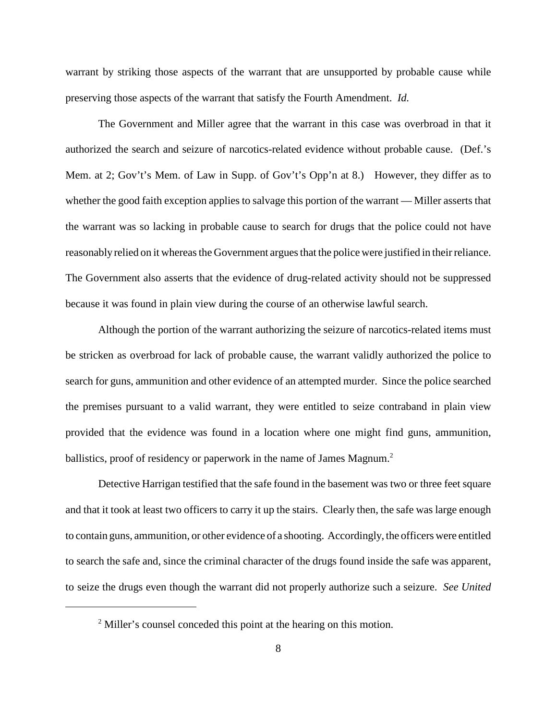warrant by striking those aspects of the warrant that are unsupported by probable cause while preserving those aspects of the warrant that satisfy the Fourth Amendment. *Id.*

The Government and Miller agree that the warrant in this case was overbroad in that it authorized the search and seizure of narcotics-related evidence without probable cause. (Def.'s Mem. at 2; Gov't's Mem. of Law in Supp. of Gov't's Opp'n at 8.) However, they differ as to whether the good faith exception applies to salvage this portion of the warrant — Miller asserts that the warrant was so lacking in probable cause to search for drugs that the police could not have reasonably relied on it whereas the Government argues that the police were justified in their reliance. The Government also asserts that the evidence of drug-related activity should not be suppressed because it was found in plain view during the course of an otherwise lawful search.

Although the portion of the warrant authorizing the seizure of narcotics-related items must be stricken as overbroad for lack of probable cause, the warrant validly authorized the police to search for guns, ammunition and other evidence of an attempted murder. Since the police searched the premises pursuant to a valid warrant, they were entitled to seize contraband in plain view provided that the evidence was found in a location where one might find guns, ammunition, ballistics, proof of residency or paperwork in the name of James Magnum.<sup>2</sup>

Detective Harrigan testified that the safe found in the basement was two or three feet square and that it took at least two officers to carry it up the stairs. Clearly then, the safe was large enough to contain guns, ammunition, or other evidence of a shooting. Accordingly, the officers were entitled to search the safe and, since the criminal character of the drugs found inside the safe was apparent, to seize the drugs even though the warrant did not properly authorize such a seizure. *See United*

<sup>&</sup>lt;sup>2</sup> Miller's counsel conceded this point at the hearing on this motion.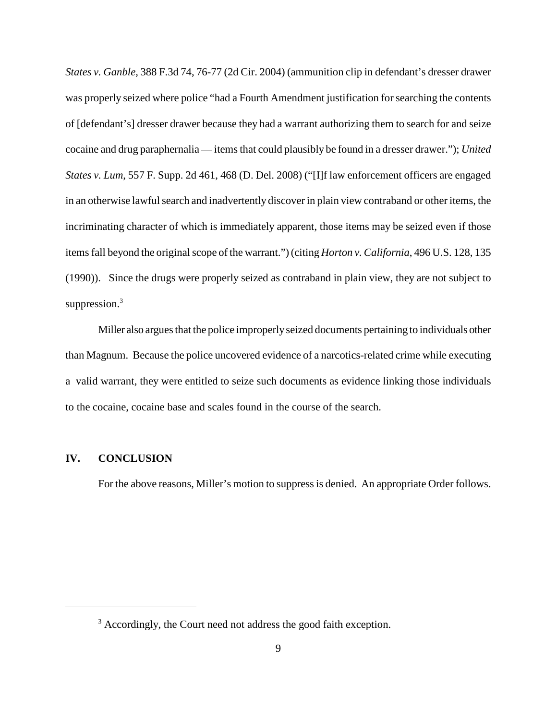*States v. Ganble*, 388 F.3d 74, 76-77 (2d Cir. 2004) (ammunition clip in defendant's dresser drawer was properly seized where police "had a Fourth Amendment justification forsearching the contents of [defendant's] dresser drawer because they had a warrant authorizing them to search for and seize cocaine and drug paraphernalia — items that could plausibly be found in a dresser drawer."); *United States v. Lum*, 557 F. Supp. 2d 461, 468 (D. Del. 2008) ("[I]f law enforcement officers are engaged in an otherwise lawful search and inadvertently discover in plain view contraband or other items, the incriminating character of which is immediately apparent, those items may be seized even if those items fall beyond the original scope of the warrant.") (citing *Horton v. California*, 496 U.S. 128, 135 (1990)). Since the drugs were properly seized as contraband in plain view, they are not subject to suppression.<sup>3</sup>

Miller also arguesthat the police improperlyseized documents pertaining to individuals other than Magnum. Because the police uncovered evidence of a narcotics-related crime while executing a valid warrant, they were entitled to seize such documents as evidence linking those individuals to the cocaine, cocaine base and scales found in the course of the search.

#### **IV. CONCLUSION**

For the above reasons, Miller's motion to suppress is denied. An appropriate Order follows.

<sup>&</sup>lt;sup>3</sup> Accordingly, the Court need not address the good faith exception.